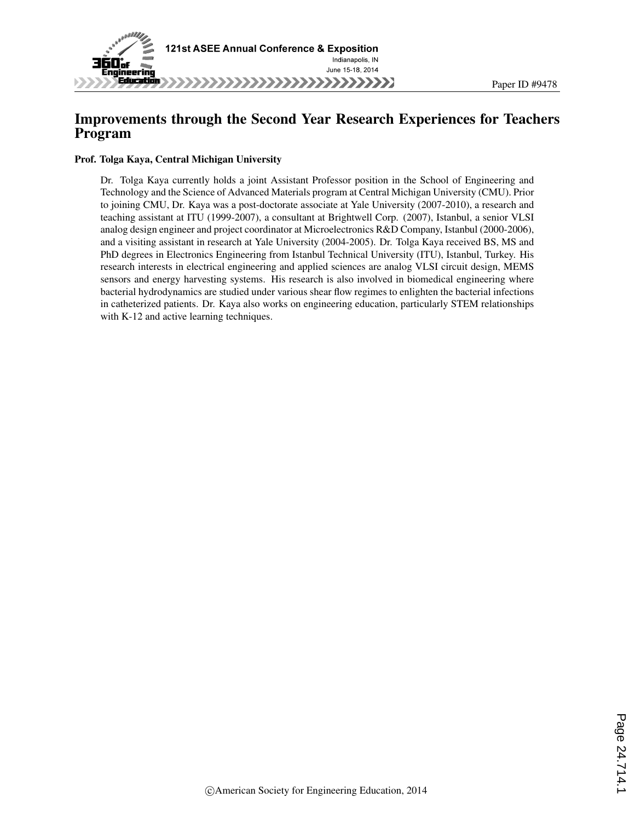

# Improvements through the Second Year Research Experiences for Teachers Program

#### Prof. Tolga Kaya, Central Michigan University

Dr. Tolga Kaya currently holds a joint Assistant Professor position in the School of Engineering and Technology and the Science of Advanced Materials program at Central Michigan University (CMU). Prior to joining CMU, Dr. Kaya was a post-doctorate associate at Yale University (2007-2010), a research and teaching assistant at ITU (1999-2007), a consultant at Brightwell Corp. (2007), Istanbul, a senior VLSI analog design engineer and project coordinator at Microelectronics R&D Company, Istanbul (2000-2006), and a visiting assistant in research at Yale University (2004-2005). Dr. Tolga Kaya received BS, MS and PhD degrees in Electronics Engineering from Istanbul Technical University (ITU), Istanbul, Turkey. His research interests in electrical engineering and applied sciences are analog VLSI circuit design, MEMS sensors and energy harvesting systems. His research is also involved in biomedical engineering where bacterial hydrodynamics are studied under various shear flow regimes to enlighten the bacterial infections in catheterized patients. Dr. Kaya also works on engineering education, particularly STEM relationships with K-12 and active learning techniques.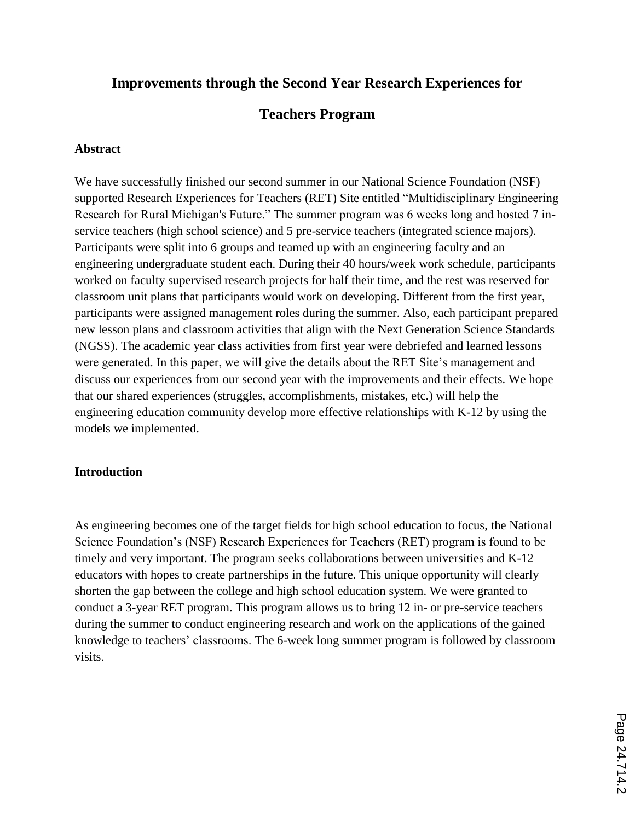# **Improvements through the Second Year Research Experiences for**

# **Teachers Program**

# **Abstract**

We have successfully finished our second summer in our National Science Foundation (NSF) supported Research Experiences for Teachers (RET) Site entitled "Multidisciplinary Engineering Research for Rural Michigan's Future." The summer program was 6 weeks long and hosted 7 inservice teachers (high school science) and 5 pre-service teachers (integrated science majors). Participants were split into 6 groups and teamed up with an engineering faculty and an engineering undergraduate student each. During their 40 hours/week work schedule, participants worked on faculty supervised research projects for half their time, and the rest was reserved for classroom unit plans that participants would work on developing. Different from the first year, participants were assigned management roles during the summer. Also, each participant prepared new lesson plans and classroom activities that align with the Next Generation Science Standards (NGSS). The academic year class activities from first year were debriefed and learned lessons were generated. In this paper, we will give the details about the RET Site's management and discuss our experiences from our second year with the improvements and their effects. We hope that our shared experiences (struggles, accomplishments, mistakes, etc.) will help the engineering education community develop more effective relationships with K-12 by using the models we implemented.

# **Introduction**

As engineering becomes one of the target fields for high school education to focus, the National Science Foundation's (NSF) Research Experiences for Teachers (RET) program is found to be timely and very important. The program seeks collaborations between universities and K-12 educators with hopes to create partnerships in the future. This unique opportunity will clearly shorten the gap between the college and high school education system. We were granted to conduct a 3-year RET program. This program allows us to bring 12 in- or pre-service teachers during the summer to conduct engineering research and work on the applications of the gained knowledge to teachers' classrooms. The 6-week long summer program is followed by classroom visits.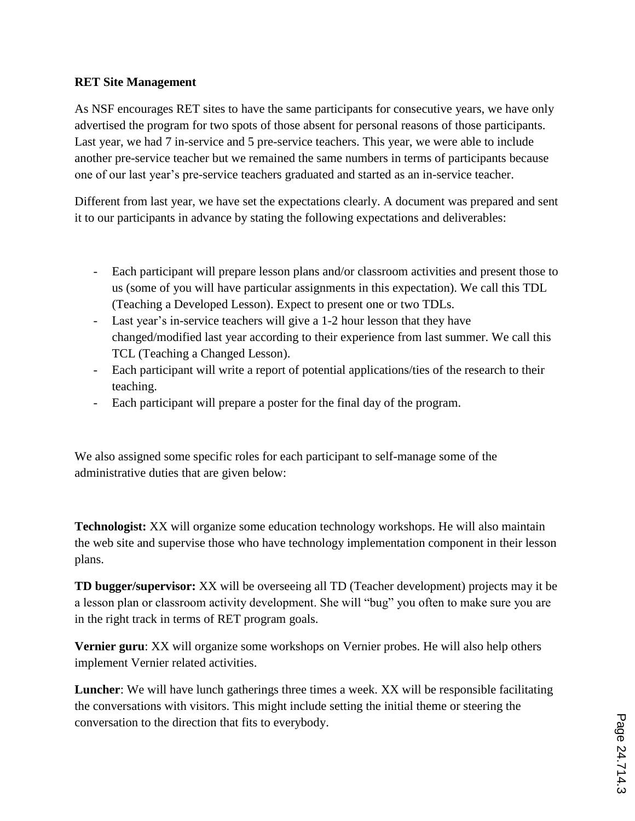# **RET Site Management**

As NSF encourages RET sites to have the same participants for consecutive years, we have only advertised the program for two spots of those absent for personal reasons of those participants. Last year, we had 7 in-service and 5 pre-service teachers. This year, we were able to include another pre-service teacher but we remained the same numbers in terms of participants because one of our last year's pre-service teachers graduated and started as an in-service teacher.

Different from last year, we have set the expectations clearly. A document was prepared and sent it to our participants in advance by stating the following expectations and deliverables:

- Each participant will prepare lesson plans and/or classroom activities and present those to us (some of you will have particular assignments in this expectation). We call this TDL (Teaching a Developed Lesson). Expect to present one or two TDLs.
- Last year's in-service teachers will give a 1-2 hour lesson that they have changed/modified last year according to their experience from last summer. We call this TCL (Teaching a Changed Lesson).
- Each participant will write a report of potential applications/ties of the research to their teaching.
- Each participant will prepare a poster for the final day of the program.

We also assigned some specific roles for each participant to self-manage some of the administrative duties that are given below:

**Technologist:** XX will organize some education technology workshops. He will also maintain the web site and supervise those who have technology implementation component in their lesson plans.

**TD bugger/supervisor:** XX will be overseeing all TD (Teacher development) projects may it be a lesson plan or classroom activity development. She will "bug" you often to make sure you are in the right track in terms of RET program goals.

**Vernier guru**: XX will organize some workshops on Vernier probes. He will also help others implement Vernier related activities.

**Luncher**: We will have lunch gatherings three times a week. XX will be responsible facilitating the conversations with visitors. This might include setting the initial theme or steering the conversation to the direction that fits to everybody.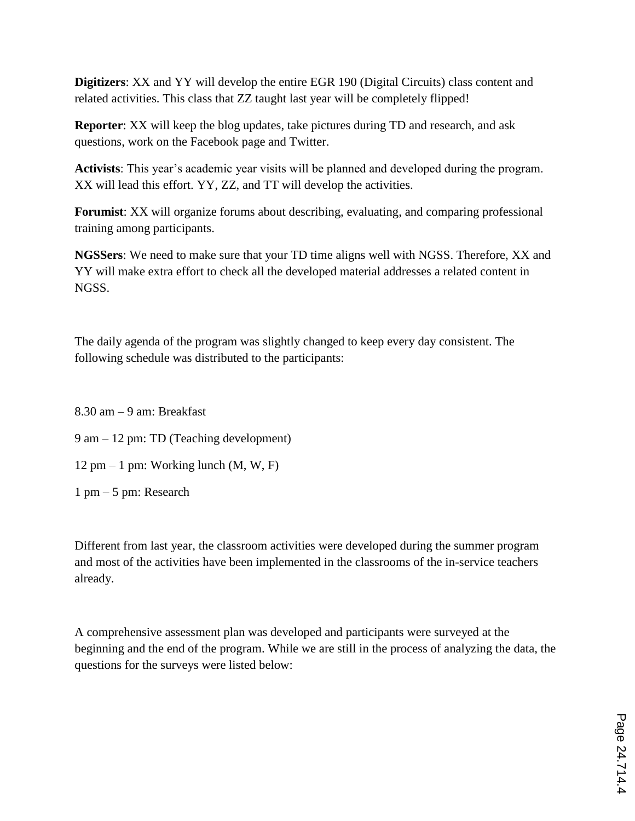**Digitizers**: XX and YY will develop the entire EGR 190 (Digital Circuits) class content and related activities. This class that ZZ taught last year will be completely flipped!

**Reporter**: XX will keep the blog updates, take pictures during TD and research, and ask questions, work on the Facebook page and Twitter.

**Activists**: This year's academic year visits will be planned and developed during the program. XX will lead this effort. YY, ZZ, and TT will develop the activities.

**Forumist**: XX will organize forums about describing, evaluating, and comparing professional training among participants.

**NGSSers**: We need to make sure that your TD time aligns well with NGSS. Therefore, XX and YY will make extra effort to check all the developed material addresses a related content in NGSS.

The daily agenda of the program was slightly changed to keep every day consistent. The following schedule was distributed to the participants:

8.30 am – 9 am: Breakfast

9 am – 12 pm: TD (Teaching development)

12 pm – 1 pm: Working lunch  $(M, W, F)$ 

1 pm – 5 pm: Research

Different from last year, the classroom activities were developed during the summer program and most of the activities have been implemented in the classrooms of the in-service teachers already.

A comprehensive assessment plan was developed and participants were surveyed at the beginning and the end of the program. While we are still in the process of analyzing the data, the questions for the surveys were listed below: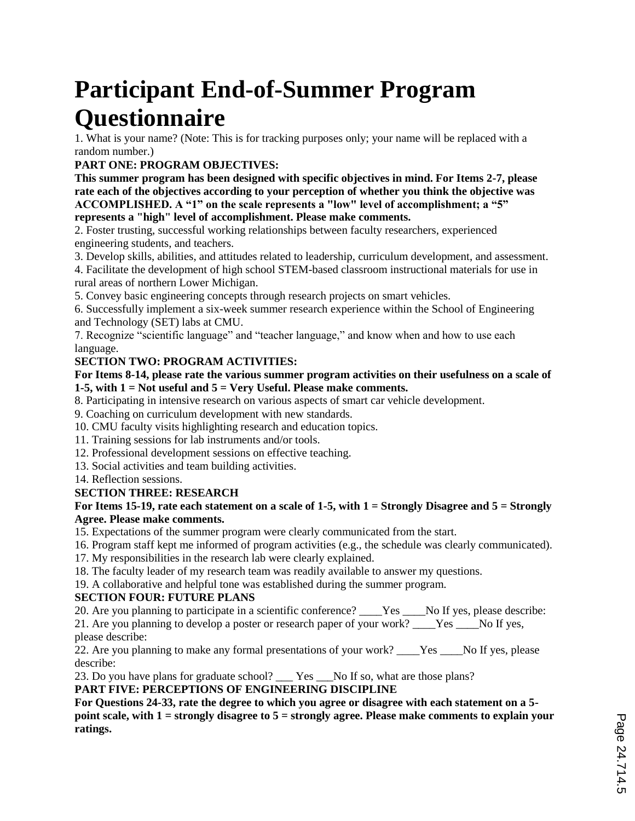# **Participant End-of-Summer Program Questionnaire**

1. What is your name? (Note: This is for tracking purposes only; your name will be replaced with a random number.)

# **PART ONE: PROGRAM OBJECTIVES:**

**This summer program has been designed with specific objectives in mind. For Items 2-7, please rate each of the objectives according to your perception of whether you think the objective was ACCOMPLISHED. A "1" on the scale represents a "low" level of accomplishment; a "5" represents a "high" level of accomplishment. Please make comments.**

2. Foster trusting, successful working relationships between faculty researchers, experienced engineering students, and teachers.

3. Develop skills, abilities, and attitudes related to leadership, curriculum development, and assessment.

4. Facilitate the development of high school STEM-based classroom instructional materials for use in rural areas of northern Lower Michigan.

5. Convey basic engineering concepts through research projects on smart vehicles.

6. Successfully implement a six-week summer research experience within the School of Engineering and Technology (SET) labs at CMU.

7. Recognize "scientific language" and "teacher language," and know when and how to use each language.

# **SECTION TWO: PROGRAM ACTIVITIES:**

**For Items 8-14, please rate the various summer program activities on their usefulness on a scale of 1-5, with 1 = Not useful and 5 = Very Useful. Please make comments.**

8. Participating in intensive research on various aspects of smart car vehicle development.

9. Coaching on curriculum development with new standards.

10. CMU faculty visits highlighting research and education topics.

11. Training sessions for lab instruments and/or tools.

- 12. Professional development sessions on effective teaching.
- 13. Social activities and team building activities.

14. Reflection sessions.

# **SECTION THREE: RESEARCH**

### **For Items 15-19, rate each statement on a scale of 1-5, with 1 = Strongly Disagree and 5 = Strongly Agree. Please make comments.**

15. Expectations of the summer program were clearly communicated from the start.

16. Program staff kept me informed of program activities (e.g., the schedule was clearly communicated).

17. My responsibilities in the research lab were clearly explained.

18. The faculty leader of my research team was readily available to answer my questions.

19. A collaborative and helpful tone was established during the summer program.

# **SECTION FOUR: FUTURE PLANS**

20. Are you planning to participate in a scientific conference? \_\_\_\_Yes \_\_\_\_No If yes, please describe:

21. Are you planning to develop a poster or research paper of your work? Yes No If yes, please describe:

22. Are you planning to make any formal presentations of your work? \_\_\_\_Yes \_\_\_No If yes, please describe:

23. Do you have plans for graduate school? \_\_\_ Yes \_\_\_No If so, what are those plans?

**PART FIVE: PERCEPTIONS OF ENGINEERING DISCIPLINE**

**For Questions 24-33, rate the degree to which you agree or disagree with each statement on a 5 point scale, with 1 = strongly disagree to 5 = strongly agree. Please make comments to explain your ratings.**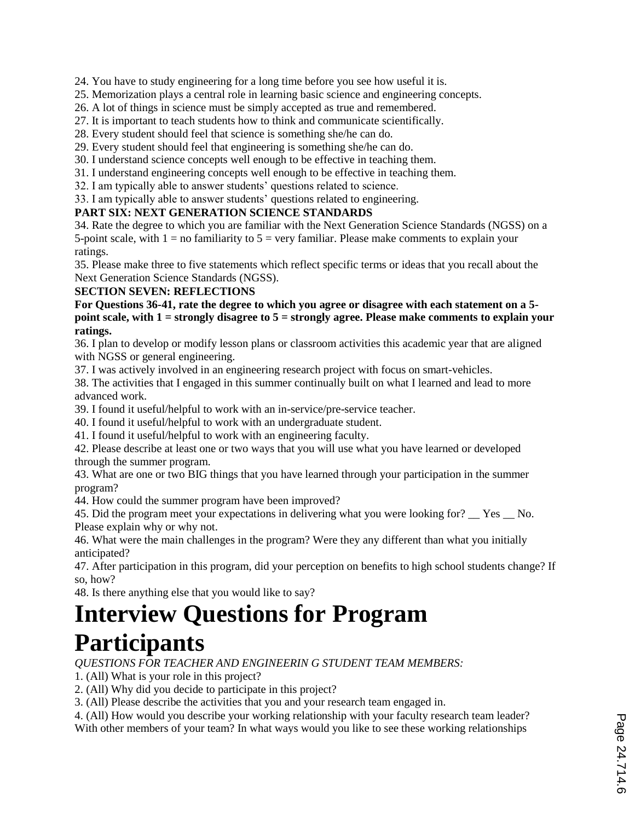24. You have to study engineering for a long time before you see how useful it is.

25. Memorization plays a central role in learning basic science and engineering concepts.

26. A lot of things in science must be simply accepted as true and remembered.

27. It is important to teach students how to think and communicate scientifically.

28. Every student should feel that science is something she/he can do.

29. Every student should feel that engineering is something she/he can do.

30. I understand science concepts well enough to be effective in teaching them.

31. I understand engineering concepts well enough to be effective in teaching them.

32. I am typically able to answer students' questions related to science.

33. I am typically able to answer students' questions related to engineering.

### **PART SIX: NEXT GENERATION SCIENCE STANDARDS**

34. Rate the degree to which you are familiar with the Next Generation Science Standards (NGSS) on a 5-point scale, with  $1 = no$  familiarity to  $5 = very$  familiar. Please make comments to explain your ratings.

35. Please make three to five statements which reflect specific terms or ideas that you recall about the Next Generation Science Standards (NGSS).

### **SECTION SEVEN: REFLECTIONS**

**For Questions 36-41, rate the degree to which you agree or disagree with each statement on a 5 point scale, with 1 = strongly disagree to 5 = strongly agree. Please make comments to explain your ratings.**

36. I plan to develop or modify lesson plans or classroom activities this academic year that are aligned with NGSS or general engineering.

37. I was actively involved in an engineering research project with focus on smart-vehicles.

38. The activities that I engaged in this summer continually built on what I learned and lead to more advanced work.

39. I found it useful/helpful to work with an in-service/pre-service teacher.

40. I found it useful/helpful to work with an undergraduate student.

41. I found it useful/helpful to work with an engineering faculty.

42. Please describe at least one or two ways that you will use what you have learned or developed through the summer program.

43. What are one or two BIG things that you have learned through your participation in the summer program?

44. How could the summer program have been improved?

45. Did the program meet your expectations in delivering what you were looking for? Yes No. Please explain why or why not.

46. What were the main challenges in the program? Were they any different than what you initially anticipated?

47. After participation in this program, did your perception on benefits to high school students change? If so, how?

48. Is there anything else that you would like to say?

# **Interview Questions for Program Participants**

*QUESTIONS FOR TEACHER AND ENGINEERIN G STUDENT TEAM MEMBERS:*

1. (All) What is your role in this project?

2. (All) Why did you decide to participate in this project?

3. (All) Please describe the activities that you and your research team engaged in.

4. (All) How would you describe your working relationship with your faculty research team leader?

With other members of your team? In what ways would you like to see these working relationships